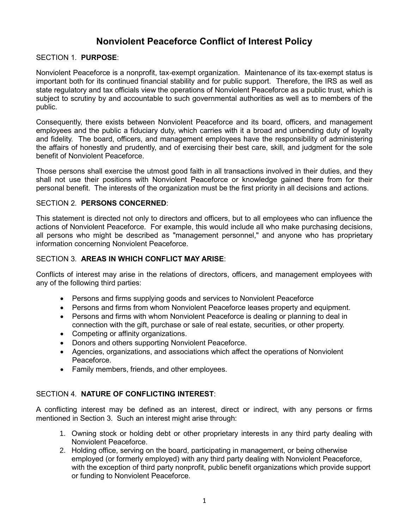# **Nonviolent Peaceforce Conflict of Interest Policy**

### SECTION 1. **PURPOSE**:

Nonviolent Peaceforce is a nonprofit, tax-exempt organization. Maintenance of its tax-exempt status is important both for its continued financial stability and for public support. Therefore, the IRS as well as state regulatory and tax officials view the operations of Nonviolent Peaceforce as a public trust, which is subject to scrutiny by and accountable to such governmental authorities as well as to members of the public.

Consequently, there exists between Nonviolent Peaceforce and its board, officers, and management employees and the public a fiduciary duty, which carries with it a broad and unbending duty of loyalty and fidelity. The board, officers, and management employees have the responsibility of administering the affairs of honestly and prudently, and of exercising their best care, skill, and judgment for the sole benefit of Nonviolent Peaceforce.

Those persons shall exercise the utmost good faith in all transactions involved in their duties, and they shall not use their positions with Nonviolent Peaceforce or knowledge gained there from for their personal benefit. The interests of the organization must be the first priority in all decisions and actions.

#### SECTION 2. **PERSONS CONCERNED**:

This statement is directed not only to directors and officers, but to all employees who can influence the actions of Nonviolent Peaceforce. For example, this would include all who make purchasing decisions, all persons who might be described as "management personnel," and anyone who has proprietary information concerning Nonviolent Peaceforce.

#### SECTION 3. **AREAS IN WHICH CONFLICT MAY ARISE**:

Conflicts of interest may arise in the relations of directors, officers, and management employees with any of the following third parties:

- Persons and firms supplying goods and services to Nonviolent Peaceforce
- Persons and firms from whom Nonviolent Peaceforce leases property and equipment.
- Persons and firms with whom Nonviolent Peaceforce is dealing or planning to deal in connection with the gift, purchase or sale of real estate, securities, or other property.
- Competing or affinity organizations.
- Donors and others supporting Nonviolent Peaceforce.
- Agencies, organizations, and associations which affect the operations of Nonviolent Peaceforce.
- Family members, friends, and other employees.

#### SECTION 4. **NATURE OF CONFLICTING INTEREST**:

A conflicting interest may be defined as an interest, direct or indirect, with any persons or firms mentioned in Section 3. Such an interest might arise through:

- 1. Owning stock or holding debt or other proprietary interests in any third party dealing with Nonviolent Peaceforce.
- 2. Holding office, serving on the board, participating in management, or being otherwise employed (or formerly employed) with any third party dealing with Nonviolent Peaceforce, with the exception of third party nonprofit, public benefit organizations which provide support or funding to Nonviolent Peaceforce.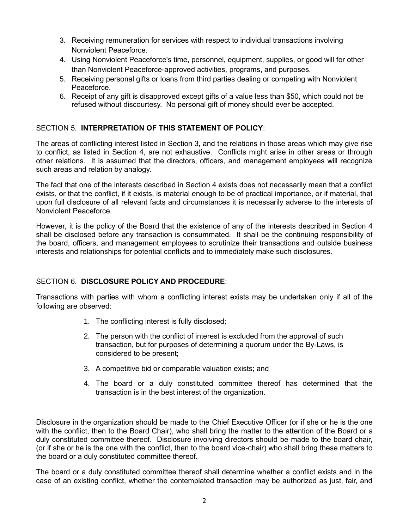- 3. Receiving remuneration for services with respect to individual transactions involving Nonviolent Peaceforce.
- 4. Using Nonviolent Peaceforce's time, personnel, equipment, supplies, or good will for other than Nonviolent Peaceforce-approved activities, programs, and purposes.
- 5. Receiving personal gifts or loans from third parties dealing or competing with Nonviolent Peaceforce.
- 6. Receipt of any gift is disapproved except gifts of a value less than \$50, which could not be refused without discourtesy. No personal gift of money should ever be accepted.

### SECTION 5. **INTERPRETATION OF THIS STATEMENT OF POLICY**:

The areas of conflicting interest listed in Section 3, and the relations in those areas which may give rise to conflict, as listed in Section 4, are not exhaustive. Conflicts might arise in other areas or through other relations. It is assumed that the directors, officers, and management employees will recognize such areas and relation by analogy.

The fact that one of the interests described in Section 4 exists does not necessarily mean that a conflict exists, or that the conflict, if it exists, is material enough to be of practical importance, or if material, that upon full disclosure of all relevant facts and circumstances it is necessarily adverse to the interests of Nonviolent Peaceforce.

However, it is the policy of the Board that the existence of any of the interests described in Section 4 shall be disclosed before any transaction is consummated. It shall be the continuing responsibility of the board, officers, and management employees to scrutinize their transactions and outside business interests and relationships for potential conflicts and to immediately make such disclosures.

### SECTION 6. **DISCLOSURE POLICY AND PROCEDURE**:

Transactions with parties with whom a conflicting interest exists may be undertaken only if all of the following are observed:

- 1. The conflicting interest is fully disclosed;
- 2. The person with the conflict of interest is excluded from the approval of such transaction, but for purposes of determining a quorum under the By-Laws, is considered to be present;
- 3. A competitive bid or comparable valuation exists; and
- 4. The board or a duly constituted committee thereof has determined that the transaction is in the best interest of the organization.

Disclosure in the organization should be made to the Chief Executive Officer (or if she or he is the one with the conflict, then to the Board Chair), who shall bring the matter to the attention of the Board or a duly constituted committee thereof. Disclosure involving directors should be made to the board chair, (or if she or he is the one with the conflict, then to the board vice-chair) who shall bring these matters to the board or a duly constituted committee thereof.

The board or a duly constituted committee thereof shall determine whether a conflict exists and in the case of an existing conflict, whether the contemplated transaction may be authorized as just, fair, and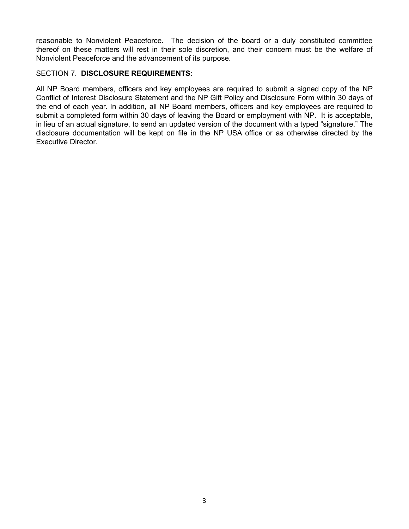reasonable to Nonviolent Peaceforce. The decision of the board or a duly constituted committee thereof on these matters will rest in their sole discretion, and their concern must be the welfare of Nonviolent Peaceforce and the advancement of its purpose.

#### SECTION 7. **DISCLOSURE REQUIREMENTS**:

All NP Board members, officers and key employees are required to submit a signed copy of the NP Conflict of Interest Disclosure Statement and the NP Gift Policy and Disclosure Form within 30 days of the end of each year. In addition, all NP Board members, officers and key employees are required to submit a completed form within 30 days of leaving the Board or employment with NP. It is acceptable, in lieu of an actual signature, to send an updated version of the document with a typed "signature." The disclosure documentation will be kept on file in the NP USA office or as otherwise directed by the Executive Director.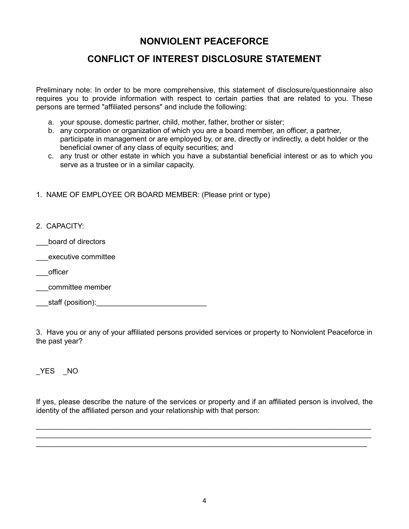# **NONVIOLENT PEACEFORCE**

## **CONFLICT OF INTEREST DISCLOSURE STATEMENT**

Preliminary note: In order to be more comprehensive, this statement of disclosure/questionnaire also requires you to provide information with respect to certain parties that are related to you. These persons are termed "affiliated persons" and include the following:

- a. your spouse, domestic partner, child, mother, father, brother or sister;
- b. any corporation or organization of which you are a board member, an officer, a partner, participate in management or are employed by, or are, directly or indirectly, a debt holder or the beneficial owner of any class of equity securities; and
- c. any trust or other estate in which you have a substantial beneficial interest or as to which you serve as a trustee or in a similar capacity.
- 1. NAME OF EMPLOYEE OR BOARD MEMBER: (Please print or type)
- 2. CAPACITY:
- \_\_\_board of directors
- \_\_\_executive committee
- \_\_\_officer
- \_\_\_committee member
- staff (position):

3. Have you or any of your affiliated persons provided services or property to Nonviolent Peaceforce in the past year?

\_YES \_NO

If yes, please describe the nature of the services or property and if an affiliated person is involved, the identity of the affiliated person and your relationship with that person:

\_\_\_\_\_\_\_\_\_\_\_\_\_\_\_\_\_\_\_\_\_\_\_\_\_\_\_\_\_\_\_\_\_\_\_\_\_\_\_\_\_\_\_\_\_\_\_\_\_\_\_\_\_\_\_\_\_\_\_\_\_\_\_\_\_\_\_\_\_\_\_\_\_\_\_\_\_\_\_\_\_\_ \_\_\_\_\_\_\_\_\_\_\_\_\_\_\_\_\_\_\_\_\_\_\_\_\_\_\_\_\_\_\_\_\_\_\_\_\_\_\_\_\_\_\_\_\_\_\_\_\_\_\_\_\_\_\_\_\_\_\_\_\_\_\_\_\_\_\_\_\_\_\_\_\_\_\_\_\_\_\_\_\_\_ \_\_\_\_\_\_\_\_\_\_\_\_\_\_\_\_\_\_\_\_\_\_\_\_\_\_\_\_\_\_\_\_\_\_\_\_\_\_\_\_\_\_\_\_\_\_\_\_\_\_\_\_\_\_\_\_\_\_\_\_\_\_\_\_\_\_\_\_\_\_\_\_\_\_\_\_\_\_\_\_\_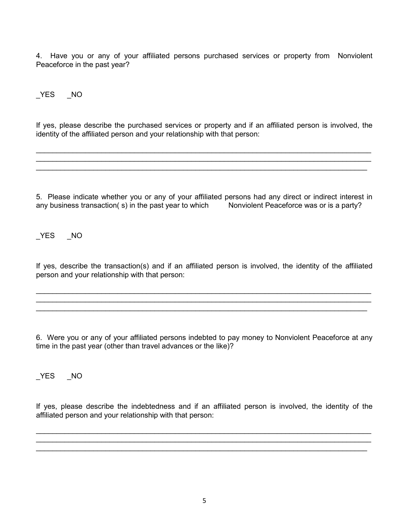4. Have you or any of your affiliated persons purchased services or property from Nonviolent Peaceforce in the past year?

YES NO

If yes, please describe the purchased services or property and if an affiliated person is involved, the identity of the affiliated person and your relationship with that person:

\_\_\_\_\_\_\_\_\_\_\_\_\_\_\_\_\_\_\_\_\_\_\_\_\_\_\_\_\_\_\_\_\_\_\_\_\_\_\_\_\_\_\_\_\_\_\_\_\_\_\_\_\_\_\_\_\_\_\_\_\_\_\_\_\_\_\_\_\_\_\_\_\_\_\_\_\_\_\_\_\_\_

\_\_\_\_\_\_\_\_\_\_\_\_\_\_\_\_\_\_\_\_\_\_\_\_\_\_\_\_\_\_\_\_\_\_\_\_\_\_\_\_\_\_\_\_\_\_\_\_\_\_\_\_\_\_\_\_\_\_\_\_\_\_\_\_\_\_\_\_\_\_\_\_\_\_\_\_\_\_\_\_\_

5. Please indicate whether you or any of your affiliated persons had any direct or indirect interest in any business transaction(s) in the past year to which Nonviolent Peaceforce was or is a party?

YES NO

If yes, describe the transaction(s) and if an affiliated person is involved, the identity of the affiliated person and your relationship with that person:

\_\_\_\_\_\_\_\_\_\_\_\_\_\_\_\_\_\_\_\_\_\_\_\_\_\_\_\_\_\_\_\_\_\_\_\_\_\_\_\_\_\_\_\_\_\_\_\_\_\_\_\_\_\_\_\_\_\_\_\_\_\_\_\_\_\_\_\_\_\_\_\_\_\_\_\_\_\_\_\_\_\_

\_\_\_\_\_\_\_\_\_\_\_\_\_\_\_\_\_\_\_\_\_\_\_\_\_\_\_\_\_\_\_\_\_\_\_\_\_\_\_\_\_\_\_\_\_\_\_\_\_\_\_\_\_\_\_\_\_\_\_\_\_\_\_\_\_\_\_\_\_\_\_\_\_\_\_\_\_\_\_\_\_

6. Were you or any of your affiliated persons indebted to pay money to Nonviolent Peaceforce at any time in the past year (other than travel advances or the like)?

\_YES \_NO

If yes, please describe the indebtedness and if an affiliated person is involved, the identity of the affiliated person and your relationship with that person:

\_\_\_\_\_\_\_\_\_\_\_\_\_\_\_\_\_\_\_\_\_\_\_\_\_\_\_\_\_\_\_\_\_\_\_\_\_\_\_\_\_\_\_\_\_\_\_\_\_\_\_\_\_\_\_\_\_\_\_\_\_\_\_\_\_\_\_\_\_\_\_\_\_\_\_\_\_\_\_\_\_\_

\_\_\_\_\_\_\_\_\_\_\_\_\_\_\_\_\_\_\_\_\_\_\_\_\_\_\_\_\_\_\_\_\_\_\_\_\_\_\_\_\_\_\_\_\_\_\_\_\_\_\_\_\_\_\_\_\_\_\_\_\_\_\_\_\_\_\_\_\_\_\_\_\_\_\_\_\_\_\_\_\_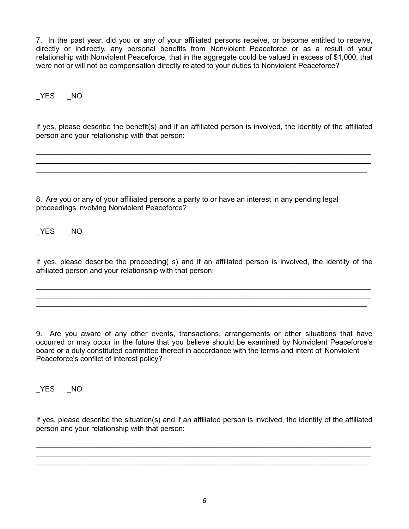7. In the past year, did you or any of your affiliated persons receive, or become entitled to receive, directly or indirectly, any personal benefits from Nonviolent Peaceforce or as a result of your relationship with Nonviolent Peaceforce, that in the aggregate could be valued in excess of \$1,000, that were not or will not be compensation directly related to your duties to Nonviolent Peaceforce?

## YES NO

If yes, please describe the benefit(s) and if an affiliated person is involved, the identity of the affiliated person and your relationship with that person:

\_\_\_\_\_\_\_\_\_\_\_\_\_\_\_\_\_\_\_\_\_\_\_\_\_\_\_\_\_\_\_\_\_\_\_\_\_\_\_\_\_\_\_\_\_\_\_\_\_\_\_\_\_\_\_\_\_\_\_\_\_\_\_\_\_\_\_\_\_\_\_\_\_\_\_\_\_\_\_\_\_\_ \_\_\_\_\_\_\_\_\_\_\_\_\_\_\_\_\_\_\_\_\_\_\_\_\_\_\_\_\_\_\_\_\_\_\_\_\_\_\_\_\_\_\_\_\_\_\_\_\_\_\_\_\_\_\_\_\_\_\_\_\_\_\_\_\_\_\_\_\_\_\_\_\_\_\_\_\_\_\_\_\_\_ \_\_\_\_\_\_\_\_\_\_\_\_\_\_\_\_\_\_\_\_\_\_\_\_\_\_\_\_\_\_\_\_\_\_\_\_\_\_\_\_\_\_\_\_\_\_\_\_\_\_\_\_\_\_\_\_\_\_\_\_\_\_\_\_\_\_\_\_\_\_\_\_\_\_\_\_\_\_\_\_\_

8. Are you or any of your affiliated persons a party to or have an interest in any pending legal proceedings involving Nonviolent Peaceforce?

\_YES \_NO

If yes, please describe the proceeding( s) and if an affiliated person is involved, the identity of the affiliated person and your relationship with that person:

\_\_\_\_\_\_\_\_\_\_\_\_\_\_\_\_\_\_\_\_\_\_\_\_\_\_\_\_\_\_\_\_\_\_\_\_\_\_\_\_\_\_\_\_\_\_\_\_\_\_\_\_\_\_\_\_\_\_\_\_\_\_\_\_\_\_\_\_\_\_\_\_\_\_\_\_\_\_\_\_\_\_ \_\_\_\_\_\_\_\_\_\_\_\_\_\_\_\_\_\_\_\_\_\_\_\_\_\_\_\_\_\_\_\_\_\_\_\_\_\_\_\_\_\_\_\_\_\_\_\_\_\_\_\_\_\_\_\_\_\_\_\_\_\_\_\_\_\_\_\_\_\_\_\_\_\_\_\_\_\_\_\_\_\_

9. Are you aware of any other events, transactions, arrangements or other situations that have occurred or may occur in the future that you believe should be examined by Nonviolent Peaceforce's board or a duly constituted committee thereof in accordance with the terms and intent of Nonviolent Peaceforce's conflict of interest policy?

\_YES \_NO

If yes, please describe the situation(s) and if an affiliated person is involved, the identity of the affiliated person and your relationship with that person:

\_\_\_\_\_\_\_\_\_\_\_\_\_\_\_\_\_\_\_\_\_\_\_\_\_\_\_\_\_\_\_\_\_\_\_\_\_\_\_\_\_\_\_\_\_\_\_\_\_\_\_\_\_\_\_\_\_\_\_\_\_\_\_\_\_\_\_\_\_\_\_\_\_\_\_\_\_\_\_\_\_\_ \_\_\_\_\_\_\_\_\_\_\_\_\_\_\_\_\_\_\_\_\_\_\_\_\_\_\_\_\_\_\_\_\_\_\_\_\_\_\_\_\_\_\_\_\_\_\_\_\_\_\_\_\_\_\_\_\_\_\_\_\_\_\_\_\_\_\_\_\_\_\_\_\_\_\_\_\_\_\_\_\_\_ \_\_\_\_\_\_\_\_\_\_\_\_\_\_\_\_\_\_\_\_\_\_\_\_\_\_\_\_\_\_\_\_\_\_\_\_\_\_\_\_\_\_\_\_\_\_\_\_\_\_\_\_\_\_\_\_\_\_\_\_\_\_\_\_\_\_\_\_\_\_\_\_\_\_\_\_\_\_\_\_\_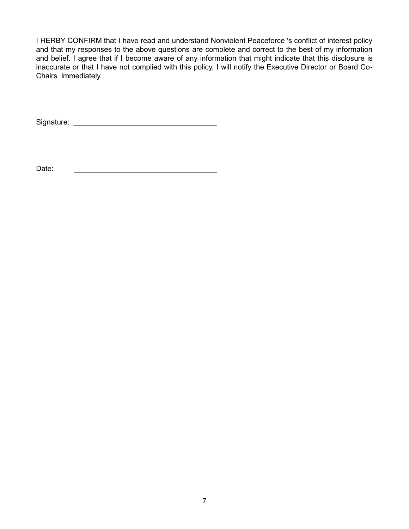I HERBY CONFIRM that I have read and understand Nonviolent Peaceforce 's conflict of interest policy and that my responses to the above questions are complete and correct to the best of my information and belief. I agree that if I become aware of any information that might indicate that this disclosure is inaccurate or that I have not complied with this policy, I will notify the Executive Director or Board Co-Chairs immediately.

Signature: \_\_\_\_\_\_\_\_\_\_\_\_\_\_\_\_\_\_\_\_\_\_\_\_\_\_\_\_\_\_\_\_\_\_\_

Date: \_\_\_\_\_\_\_\_\_\_\_\_\_\_\_\_\_\_\_\_\_\_\_\_\_\_\_\_\_\_\_\_\_\_\_